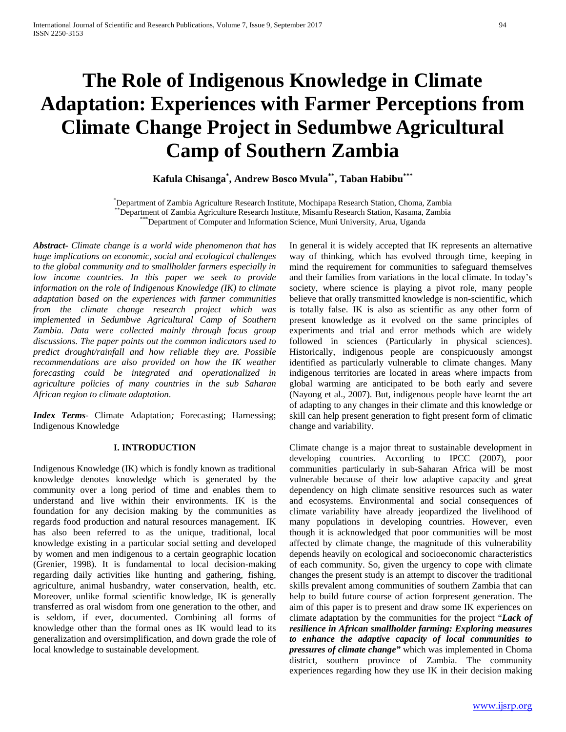# **The Role of Indigenous Knowledge in Climate Adaptation: Experiences with Farmer Perceptions from Climate Change Project in Sedumbwe Agricultural Camp of Southern Zambia**

**Kafula Chisanga\* , Andrew Bosco Mvula\*\*, Taban Habibu\*\*\***

Department of Zambia Agriculture Research Institute, Mochipapa Research Station, Choma, Zambia \*Department of Zambia Agriculture Research Institute, Misamfu Research Station, Kasama, Zambia<br>\*\*\*Department of Computer and Information Science, Muni University, Arua, Uganda

*Abstract***-** *Climate change is a world wide phenomenon that has huge implications on economic, social and ecological challenges to the global community and to smallholder farmers especially in low income countries. In this paper we seek to provide information on the role of Indigenous Knowledge (IK) to climate adaptation based on the experiences with farmer communities from the climate change research project which was implemented in Sedumbwe Agricultural Camp of Southern Zambia. Data were collected mainly through focus group discussions. The paper points out the common indicators used to predict drought/rainfall and how reliable they are. Possible recommendations are also provided on how the IK weather forecasting could be integrated and operationalized in agriculture policies of many countries in the sub Saharan African region to climate adaptation*.

*Index Terms*- Climate Adaptation*;* Forecasting; Harnessing; Indigenous Knowledge

## **I. INTRODUCTION**

Indigenous Knowledge (IK) which is fondly known as traditional knowledge denotes knowledge which is generated by the community over a long period of time and enables them to understand and live within their environments. IK is the foundation for any decision making by the communities as regards food production and natural resources management. IK has also been referred to as the unique, traditional, local knowledge existing in a particular social setting and developed by women and men indigenous to a certain geographic location (Grenier, 1998). It is fundamental to local decision-making regarding daily activities like hunting and gathering, fishing, agriculture, animal husbandry, water conservation, health, etc. Moreover, unlike formal scientific knowledge, IK is generally transferred as oral wisdom from one generation to the other, and is seldom, if ever, documented. Combining all forms of knowledge other than the formal ones as IK would lead to its generalization and oversimplification, and down grade the role of local knowledge to sustainable development.

In general it is widely accepted that IK represents an alternative way of thinking, which has evolved through time, keeping in mind the requirement for communities to safeguard themselves and their families from variations in the local climate. In today's society, where science is playing a pivot role, many people believe that orally transmitted knowledge is non-scientific, which is totally false. IK is also as scientific as any other form of present knowledge as it evolved on the same principles of experiments and trial and error methods which are widely followed in sciences (Particularly in physical sciences). Historically, indigenous people are conspicuously amongst identified as particularly vulnerable to climate changes. Many indigenous territories are located in areas where impacts from global warming are anticipated to be both early and severe (Nayong et al., 2007). But, indigenous people have learnt the art of adapting to any changes in their climate and this knowledge or skill can help present generation to fight present form of climatic change and variability.

Climate change is a major threat to sustainable development in developing countries. According to IPCC (2007), poor communities particularly in sub-Saharan Africa will be most vulnerable because of their low adaptive capacity and great dependency on high climate sensitive resources such as water and ecosystems. Environmental and social consequences of climate variability have already jeopardized the livelihood of many populations in developing countries. However, even though it is acknowledged that poor communities will be most affected by climate change, the magnitude of this vulnerability depends heavily on ecological and socioeconomic characteristics of each community. So, given the urgency to cope with climate changes the present study is an attempt to discover the traditional skills prevalent among communities of southern Zambia that can help to build future course of action forpresent generation. The aim of this paper is to present and draw some IK experiences on climate adaptation by the communities for the project "*Lack of resilience in African smallholder farming: Exploring measures to enhance the adaptive capacity of local communities to pressures of climate change"* which was implemented in Choma district, southern province of Zambia. The community experiences regarding how they use IK in their decision making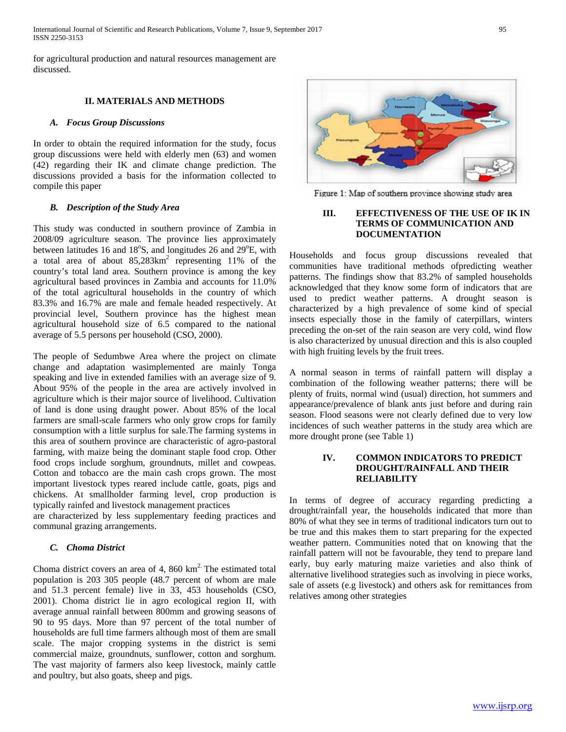for agricultural production and natural resources management are discussed.

## **II. MATERIALS AND METHODS**

### *A. Focus Group Discussions*

In order to obtain the required information for the study, focus group discussions were held with elderly men (63) and women (42) regarding their IK and climate change prediction. The discussions provided a basis for the information collected to compile this paper

## *B. Description of the Study Area*

This study was conducted in southern province of Zambia in 2008/09 agriculture season. The province lies approximately between latitudes 16 and 18°S, and longitudes 26 and 29°E, with a total area of about  $85.283 \text{km}^2$  representing 11% of the country's total land area. Southern province is among the key agricultural based provinces in Zambia and accounts for 11.0% of the total agricultural households in the country of which 83.3% and 16.7% are male and female headed respectively. At provincial level, Southern province has the highest mean agricultural household size of 6.5 compared to the national average of 5.5 persons per household (CSO, 2000).

The people of Sedumbwe Area where the project on climate change and adaptation wasimplemented are mainly Tonga speaking and live in extended families with an average size of 9. About 95% of the people in the area are actively involved in agriculture which is their major source of livelihood. Cultivation of land is done using draught power. About 85% of the local farmers are small-scale farmers who only grow crops for family consumption with a little surplus for sale.The farming systems in this area of southern province are characteristic of agro-pastoral farming, with maize being the dominant staple food crop. Other food crops include sorghum, groundnuts, millet and cowpeas. Cotton and tobacco are the main cash crops grown. The most important livestock types reared include cattle, goats, pigs and chickens. At smallholder farming level, crop production is typically rainfed and livestock management practices

are characterized by less supplementary feeding practices and communal grazing arrangements.

## *C. Choma District*

Choma district covers an area of 4, 860  $km<sup>2</sup>$ . The estimated total population is 203 305 people (48.7 percent of whom are male and 51.3 percent female) live in 33, 453 households (CSO, 2001). Choma district lie in agro ecological region II, with average annual rainfall between 800mm and growing seasons of 90 to 95 days. More than 97 percent of the total number of households are full time farmers although most of them are small scale. The major cropping systems in the district is semi commercial maize, groundnuts, sunflower, cotton and sorghum. The vast majority of farmers also keep livestock, mainly cattle and poultry, but also goats, sheep and pigs.



Figure 1: Map of southern province showing study area

# **III. EFFECTIVENESS OF THE USE OF IK IN TERMS OF COMMUNICATION AND DOCUMENTATION**

Households and focus group discussions revealed that communities have traditional methods ofpredicting weather patterns. The findings show that 83.2% of sampled households acknowledged that they know some form of indicators that are used to predict weather patterns. A drought season is characterized by a high prevalence of some kind of special insects especially those in the family of caterpillars, winters preceding the on-set of the rain season are very cold, wind flow is also characterized by unusual direction and this is also coupled with high fruiting levels by the fruit trees.

A normal season in terms of rainfall pattern will display a combination of the following weather patterns; there will be plenty of fruits, normal wind (usual) direction, hot summers and appearance/prevalence of blank ants just before and during rain season. Flood seasons were not clearly defined due to very low incidences of such weather patterns in the study area which are more drought prone (see Table 1)

## **IV. COMMON INDICATORS TO PREDICT DROUGHT/RAINFALL AND THEIR RELIABILITY**

In terms of degree of accuracy regarding predicting a drought/rainfall year, the households indicated that more than 80% of what they see in terms of traditional indicators turn out to be true and this makes them to start preparing for the expected weather pattern. Communities noted that on knowing that the rainfall pattern will not be favourable, they tend to prepare land early, buy early maturing maize varieties and also think of alternative livelihood strategies such as involving in piece works, sale of assets (e.g livestock) and others ask for remittances from relatives among other strategies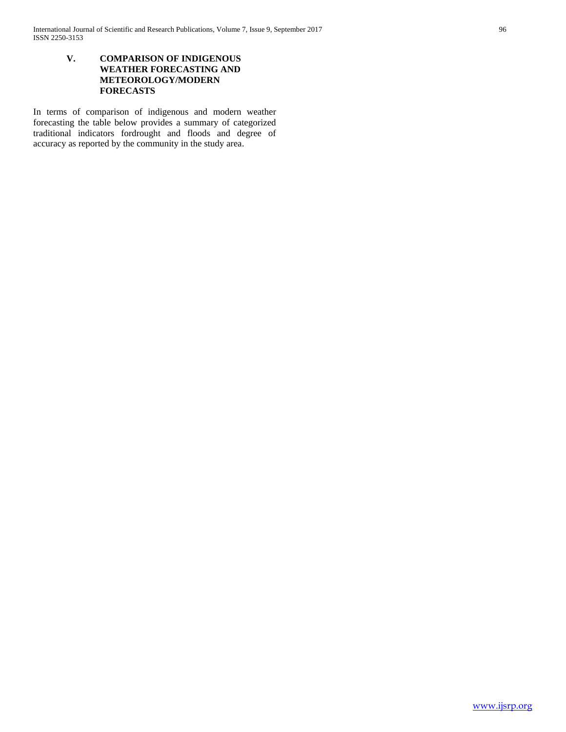# **V. COMPARISON OF INDIGENOUS WEATHER FORECASTING AND METEOROLOGY/MODERN FORECASTS**

In terms of comparison of indigenous and modern weather forecasting the table below provides a summary of categorized traditional indicators fordrought and floods and degree of accuracy as reported by the community in the study area.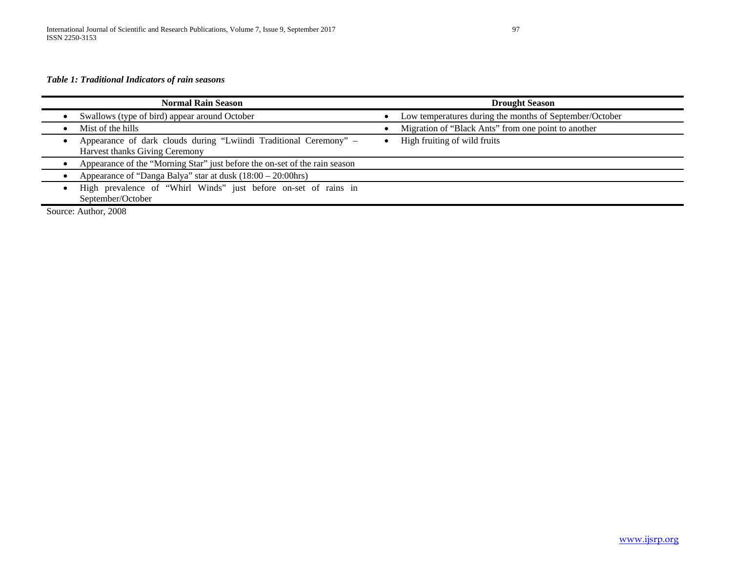# *Table 1: Traditional Indicators of rain seasons*

| <b>Normal Rain Season</b>                                                                           | <b>Drought Season</b>                                   |
|-----------------------------------------------------------------------------------------------------|---------------------------------------------------------|
| Swallows (type of bird) appear around October                                                       | Low temperatures during the months of September/October |
| Mist of the hills                                                                                   | Migration of "Black Ants" from one point to another     |
| Appearance of dark clouds during "Lwiindi Traditional Ceremony" -<br>Harvest thanks Giving Ceremony | High fruiting of wild fruits                            |
| Appearance of the "Morning Star" just before the on-set of the rain season                          |                                                         |
| Appearance of "Danga Balya" star at dusk $(18:00 - 20:00$ hrs)                                      |                                                         |
| High prevalence of "Whirl Winds" just before on-set of rains in<br>September/October                |                                                         |
| Source: Author, 2008                                                                                |                                                         |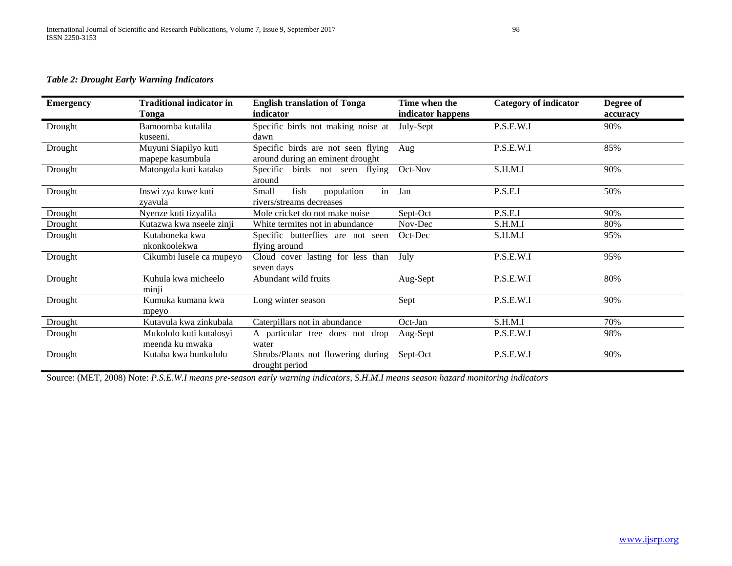# *Table 2: Drought Early Warning Indicators*

| <b>Emergency</b> | <b>Traditional indicator in</b><br>Tonga   | <b>English translation of Tonga</b><br>indicator                       | Time when the<br>indicator happens | <b>Category of indicator</b> | Degree of<br>accuracy |
|------------------|--------------------------------------------|------------------------------------------------------------------------|------------------------------------|------------------------------|-----------------------|
| Drought          | Bamoomba kutalila<br>kuseeni.              | Specific birds not making noise at<br>dawn                             | July-Sept                          | P.S.E.W.I                    | 90%                   |
| Drought          | Muyuni Siapilyo kuti<br>mapepe kasumbula   | Specific birds are not seen flying<br>around during an eminent drought | Aug                                | P.S.E.W.I                    | 85%                   |
| Drought          | Matongola kuti katako                      | Specific birds not seen flying<br>around                               | Oct-Nov                            | S.H.M.I                      | 90%                   |
| Drought          | Inswi zya kuwe kuti<br>zvavula             | Small<br>fish<br>population<br>in<br>rivers/streams decreases          | Jan                                | P.S.E.I                      | 50%                   |
| Drought          | Nyenze kuti tizyalila                      | Mole cricket do not make noise                                         | Sept-Oct                           | P.S.E.I                      | 90%                   |
| Drought          | Kutazwa kwa nseele zinji                   | White termites not in abundance                                        | Nov-Dec                            | S.H.M.I                      | 80%                   |
| Drought          | Kutaboneka kwa<br>nkonkoolekwa             | Specific butterflies are not seen<br>flying around                     | Oct-Dec                            | S.H.M.I                      | 95%                   |
| Drought          | Cikumbi lusele ca mupeyo                   | Cloud cover lasting for less than<br>seven days                        | July                               | P.S.E.W.I                    | 95%                   |
| Drought          | Kuhula kwa micheelo<br>minji               | Abundant wild fruits                                                   | Aug-Sept                           | P.S.E.W.I                    | 80%                   |
| Drought          | Kumuka kumana kwa<br>mpeyo                 | Long winter season                                                     | Sept                               | P.S.E.W.I                    | 90%                   |
| Drought          | Kutavula kwa zinkubala                     | Caterpillars not in abundance                                          | Oct-Jan                            | S.H.M.I                      | 70%                   |
| Drought          | Mukololo kuti kutalosyi<br>meenda ku mwaka | A particular tree does not drop<br>water                               | Aug-Sept                           | P.S.E.W.I                    | 98%                   |
| Drought          | Kutaba kwa bunkululu                       | Shrubs/Plants not flowering during<br>drought period                   | Sept-Oct                           | P.S.E.W.I                    | 90%                   |

Source: (MET, 2008) Note: *P.S.E.W.I means pre-season early warning indicators, S.H.M.I means season hazard monitoring indicators*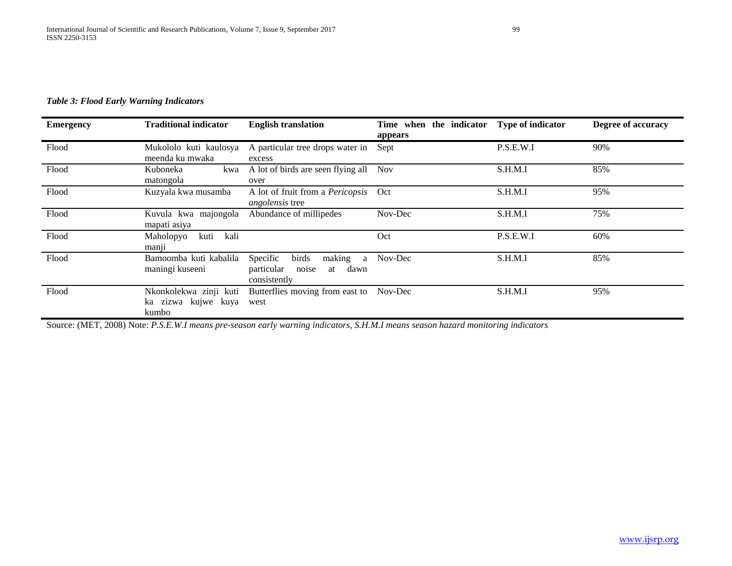# *Table 3: Flood Early Warning Indicators*

| <b>Emergency</b> | <b>Traditional indicator</b>                           | <b>English translation</b>                                                            | Time when the indicator | <b>Type of indicator</b> | Degree of accuracy |
|------------------|--------------------------------------------------------|---------------------------------------------------------------------------------------|-------------------------|--------------------------|--------------------|
| Flood            | Mukololo kuti kaulosya<br>meenda ku mwaka              | A particular tree drops water in<br>excess                                            | appears<br>Sept         | P.S.E.W.I                | 90%                |
| Flood            | Kuboneka<br>kwa<br>matongola                           | A lot of birds are seen flying all<br>over                                            | <b>Nov</b>              | S.H.M.I                  | 85%                |
| Flood            | Kuzyala kwa musamba                                    | A lot of fruit from a <i>Pericopsis</i><br><i>angolensis</i> tree                     | Oct                     | S.H.M.I                  | 95%                |
| Flood            | majongola<br>Kuvula kwa<br>mapati asiya                | Abundance of millipedes                                                               | Nov-Dec                 | S.H.M.I                  | 75%                |
| Flood            | Maholopyo<br>kuti<br>kali<br>manji                     |                                                                                       | Oct                     | P.S.E.W.I                | 60%                |
| Flood            | Bamoomba kuti kabalila<br>maningi kuseeni              | birds<br>making<br>Specific<br>a<br>particular<br>dawn<br>noise<br>at<br>consistently | Nov-Dec                 | S.H.M.I                  | 85%                |
| Flood            | Nkonkolekwa zinji kuti<br>ka zizwa kujwe kuya<br>kumbo | Butterflies moving from east to Nov-Dec<br>west                                       |                         | S.H.M.I                  | 95%                |

Source: (MET, 2008) Note: *P.S.E.W.I means pre-season early warning indicators, S.H.M.I means season hazard monitoring indicators*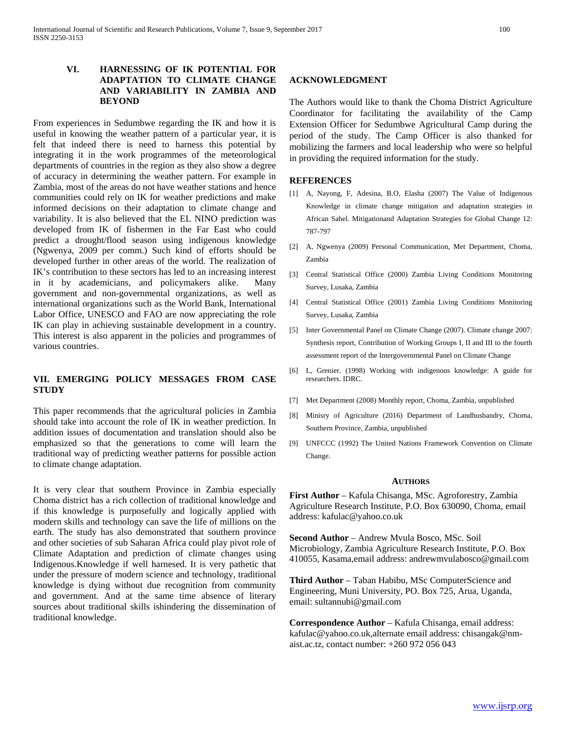## **VI. HARNESSING OF IK POTENTIAL FOR ADAPTATION TO CLIMATE CHANGE AND VARIABILITY IN ZAMBIA AND BEYOND**

From experiences in Sedumbwe regarding the IK and how it is useful in knowing the weather pattern of a particular year, it is felt that indeed there is need to harness this potential by integrating it in the work programmes of the meteorological departments of countries in the region as they also show a degree of accuracy in determining the weather pattern. For example in Zambia, most of the areas do not have weather stations and hence communities could rely on IK for weather predictions and make informed decisions on their adaptation to climate change and variability. It is also believed that the EL NINO prediction was developed from IK of fishermen in the Far East who could predict a drought/flood season using indigenous knowledge (Ngwenya, 2009 per comm.) Such kind of efforts should be developed further in other areas of the world. The realization of IK's contribution to these sectors has led to an increasing interest in it by academicians, and policymakers alike. Many government and non-governmental organizations, as well as international organizations such as the World Bank, International Labor Office, UNESCO and FAO are now appreciating the role IK can play in achieving sustainable development in a country. This interest is also apparent in the policies and programmes of various countries.

## **VII. EMERGING POLICY MESSAGES FROM CASE STUDY**

This paper recommends that the agricultural policies in Zambia should take into account the role of IK in weather prediction. In addition issues of documentation and translation should also be emphasized so that the generations to come will learn the traditional way of predicting weather patterns for possible action to climate change adaptation.

It is very clear that southern Province in Zambia especially Choma district has a rich collection of traditional knowledge and if this knowledge is purposefully and logically applied with modern skills and technology can save the life of millions on the earth. The study has also demonstrated that southern province and other societies of sub Saharan Africa could play pivot role of Climate Adaptation and prediction of climate changes using Indigenous.Knowledge if well harnesed. It is very pathetic that under the pressure of modern science and technology, traditional knowledge is dying without due recognition from community and government. And at the same time absence of literary sources about traditional skills ishindering the dissemination of traditional knowledge.

## **ACKNOWLEDGMENT**

The Authors would like to thank the Choma District Agriculture Coordinator for facilitating the availability of the Camp Extension Officer for Sedumbwe Agricultural Camp during the period of the study. The Camp Officer is also thanked for mobilizing the farmers and local leadership who were so helpful in providing the required information for the study.

## **REFERENCES**

- [1] A, Nayong, F, Adesina, B.O, Elasha (2007) The Value of Indigenous Knowledge in climate change mitigation and adaptation strategies in African Sahel. Mitigationand Adaptation Strategies for Global Change 12: 787-797
- [2] A, Ngwenya (2009) Personal Communication, Met Department, Choma, Zambia
- [3] Central Statistical Office (2000) Zambia Living Conditions Monitoring Survey, Lusaka, Zambia
- [4] Central Statistical Office (2001) Zambia Living Conditions Monitoring Survey, Lusaka, Zambia
- [5] Inter Governmental Panel on Climate Change (2007). Climate change 2007: Synthesis report, Contribution of Working Groups I, II and III to the fourth assessment report of the Intergovernmental Panel on Climate Change
- [6] L, Grenier. (1998) Working with indigenous knowledge: A guide for researchers. IDRC.
- [7] Met Department (2008) Monthly report, Choma, Zambia, unpublished
- [8] Minisry of Agriculture (2016) Department of Landhusbandry, Choma, Southern Province, Zambia, unpublished
- [9] UNFCCC (1992) The United Nations Framework Convention on Climate Change.

#### **AUTHORS**

**First Author** – Kafula Chisanga, MSc. Agroforestry, Zambia Agriculture Research Institute, P.O. Box 630090, Choma, email address: kafulac@yahoo.co.uk

**Second Author** – Andrew Mvula Bosco, MSc. Soil Microbiology, Zambia Agriculture Research Institute, P.O. Box 410055, Kasama,email address: andrewmvulabosco@gmail.com

**Third Author** – Taban Habibu, MSc ComputerScience and Engineering, Muni University, PO. Box 725, Arua, Uganda, email: sultannubi@gmail.com

**Correspondence Author** – Kafula Chisanga, email address: kafulac@yahoo.co.uk,alternate email address: chisangak@nmaist.ac.tz, contact number: +260 972 056 043